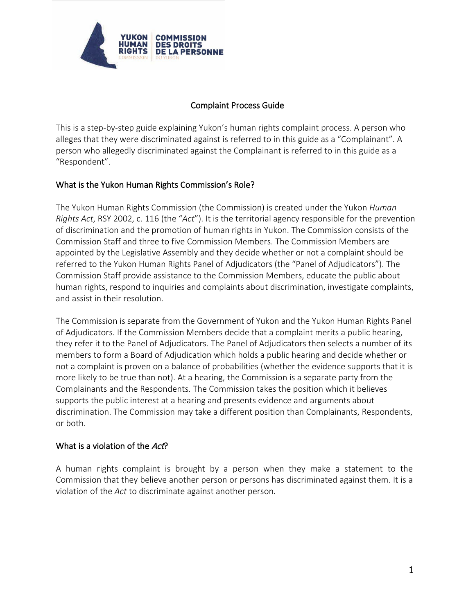

# Complaint Process Guide

This is a step-by-step guide explaining Yukon's human rights complaint process. A person who alleges that they were discriminated against is referred to in this guide as a "Complainant". A person who allegedly discriminated against the Complainant is referred to in this guide as a "Respondent".

## What is the Yukon Human Rights Commission's Role?

The Yukon Human Rights Commission (the Commission) is created under the Yukon *Human Rights Act*, RSY 2002, c. 116 (the "*Act*"). It is the territorial agency responsible for the prevention of discrimination and the promotion of human rights in Yukon. The Commission consists of the Commission Staff and three to five Commission Members. The Commission Members are appointed by the Legislative Assembly and they decide whether or not a complaint should be referred to the Yukon Human Rights Panel of Adjudicators (the "Panel of Adjudicators"). The Commission Staff provide assistance to the Commission Members, educate the public about human rights, respond to inquiries and complaints about discrimination, investigate complaints, and assist in their resolution.

The Commission is separate from the Government of Yukon and the Yukon Human Rights Panel of Adjudicators. If the Commission Members decide that a complaint merits a public hearing, they refer it to the Panel of Adjudicators. The Panel of Adjudicators then selects a number of its members to form a Board of Adjudication which holds a public hearing and decide whether or not a complaint is proven on a balance of probabilities (whether the evidence supports that it is more likely to be true than not). At a hearing, the Commission is a separate party from the Complainants and the Respondents. The Commission takes the position which it believes supports the public interest at a hearing and presents evidence and arguments about discrimination. The Commission may take a different position than Complainants, Respondents, or both.

## What is a violation of the Act?

A human rights complaint is brought by a person when they make a statement to the Commission that they believe another person or persons has discriminated against them. It is a violation of the *Act* to discriminate against another person.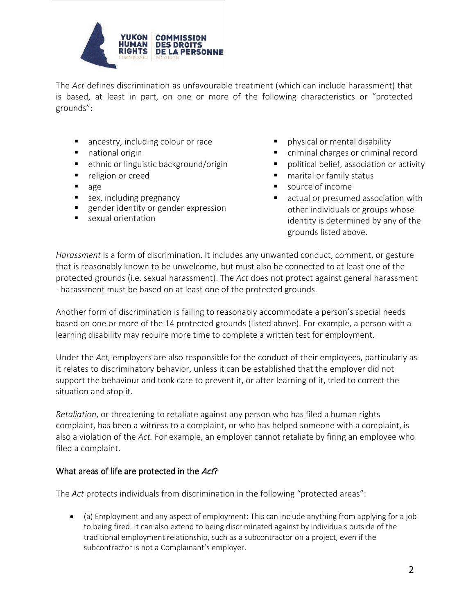

The *Act* defines discrimination as unfavourable treatment (which can include harassment) that is based, at least in part, on one or more of the following characteristics or "protected grounds":

- ancestry, including colour or race
- national origin
- ethnic or linguistic background/origin
- **P** religion or creed
- age
- **sex, including pregnancy**
- gender identity or gender expression
- **s** sexual orientation
- **Physical or mental disability**
- criminal charges or criminal record
- political belief, association or activity
- **nd** marital or family status
- source of income
- **E** actual or presumed association with other individuals or groups whose identity is determined by any of the grounds listed above.

*Harassment* is a form of discrimination. It includes any unwanted conduct, comment, or gesture that is reasonably known to be unwelcome, but must also be connected to at least one of the protected grounds (i.e. sexual harassment). The *Act* does not protect against general harassment - harassment must be based on at least one of the protected grounds.

Another form of discrimination is failing to reasonably accommodate a person's special needs based on one or more of the 14 protected grounds (listed above). For example, a person with a learning disability may require more time to complete a written test for employment.

Under the *Act,* employers are also responsible for the conduct of their employees, particularly as it relates to discriminatory behavior, unless it can be established that the employer did not support the behaviour and took care to prevent it, or after learning of it, tried to correct the situation and stop it.

*Retaliation*, or threatening to retaliate against any person who has filed a human rights complaint, has been a witness to a complaint, or who has helped someone with a complaint, is also a violation of the *Act.* For example, an employer cannot retaliate by firing an employee who filed a complaint.

## What areas of life are protected in the Act?

The *Act* protects individuals from discrimination in the following "protected areas":

• (a) Employment and any aspect of employment: This can include anything from applying for a job to being fired. It can also extend to being discriminated against by individuals outside of the traditional employment relationship, such as a subcontractor on a project, even if the subcontractor is not a Complainant's employer.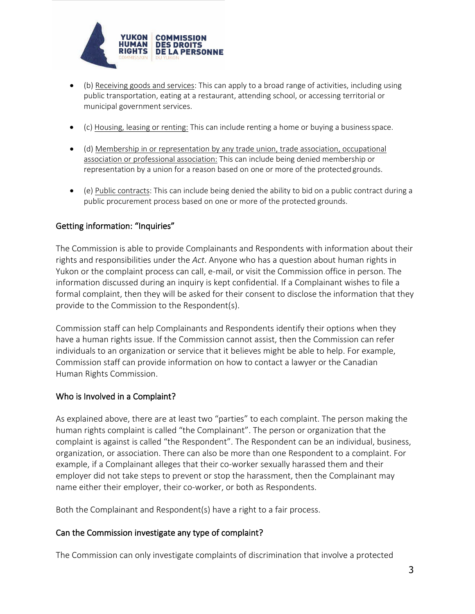

- (b) Receiving goods and services: This can apply to a broad range of activities, including using public transportation, eating at a restaurant, attending school, or accessing territorial or municipal government services.
- (c) Housing, leasing or renting: This can include renting a home or buying a business space.
- (d) Membership in or representation by any trade union, trade association, occupational association or professional association: This can include being denied membership or representation by a union for a reason based on one or more of the protected grounds.
- (e) Public contracts: This can include being denied the ability to bid on a public contract during a public procurement process based on one or more of the protected grounds.

## Getting information: "Inquiries"

The Commission is able to provide Complainants and Respondents with information about their rights and responsibilities under the *Act*. Anyone who has a question about human rights in Yukon or the complaint process can call, e-mail, or visit the Commission office in person. The information discussed during an inquiry is kept confidential. If a Complainant wishes to file a formal complaint, then they will be asked for their consent to disclose the information that they provide to the Commission to the Respondent(s).

Commission staff can help Complainants and Respondents identify their options when they have a human rights issue. If the Commission cannot assist, then the Commission can refer individuals to an organization or service that it believes might be able to help. For example, Commission staff can provide information on how to contact a lawyer or the Canadian Human Rights Commission.

## Who is Involved in a Complaint?

As explained above, there are at least two "parties" to each complaint. The person making the human rights complaint is called "the Complainant". The person or organization that the complaint is against is called "the Respondent". The Respondent can be an individual, business, organization, or association. There can also be more than one Respondent to a complaint. For example, if a Complainant alleges that their co-worker sexually harassed them and their employer did not take steps to prevent or stop the harassment, then the Complainant may name either their employer, their co-worker, or both as Respondents.

Both the Complainant and Respondent(s) have a right to a fair process.

## Can the Commission investigate any type of complaint?

The Commission can only investigate complaints of discrimination that involve a protected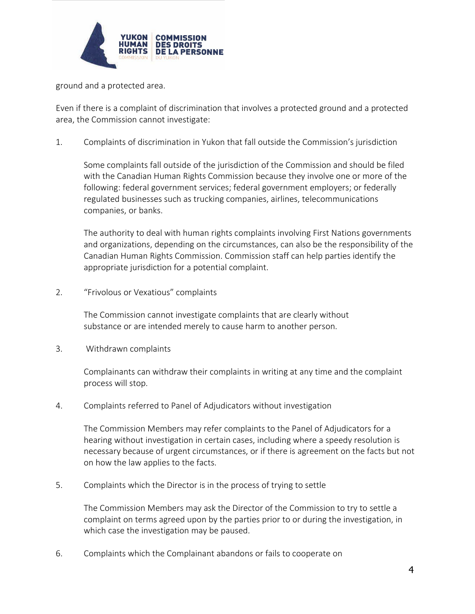

ground and a protected area.

Even if there is a complaint of discrimination that involves a protected ground and a protected area, the Commission cannot investigate:

1. Complaints of discrimination in Yukon that fall outside the Commission's jurisdiction

Some complaints fall outside of the jurisdiction of the Commission and should be filed with the Canadian Human Rights Commission because they involve one or more of the following: federal government services; federal government employers; or federally regulated businesses such as trucking companies, airlines, telecommunications companies, or banks.

The authority to deal with human rights complaints involving First Nations governments and organizations, depending on the circumstances, can also be the responsibility of the Canadian Human Rights Commission. Commission staff can help parties identify the appropriate jurisdiction for a potential complaint.

2. "Frivolous or Vexatious" complaints

The Commission cannot investigate complaints that are clearly without substance or are intended merely to cause harm to another person.

3. Withdrawn complaints

Complainants can withdraw their complaints in writing at any time and the complaint process will stop.

4. Complaints referred to Panel of Adjudicators without investigation

The Commission Members may refer complaints to the Panel of Adjudicators for a hearing without investigation in certain cases, including where a speedy resolution is necessary because of urgent circumstances, or if there is agreement on the facts but not on how the law applies to the facts.

5. Complaints which the Director is in the process of trying to settle

The Commission Members may ask the Director of the Commission to try to settle a complaint on terms agreed upon by the parties prior to or during the investigation, in which case the investigation may be paused.

6. Complaints which the Complainant abandons or fails to cooperate on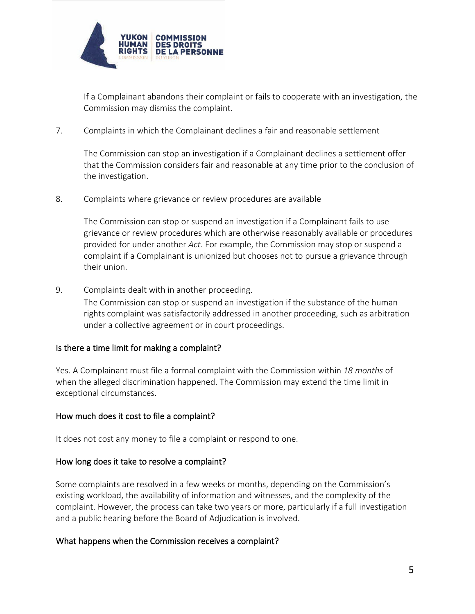

If a Complainant abandons their complaint or fails to cooperate with an investigation, the Commission may dismiss the complaint.

7. Complaints in which the Complainant declines a fair and reasonable settlement

The Commission can stop an investigation if a Complainant declines a settlement offer that the Commission considers fair and reasonable at any time prior to the conclusion of the investigation.

8. Complaints where grievance or review procedures are available

The Commission can stop or suspend an investigation if a Complainant fails to use grievance or review procedures which are otherwise reasonably available or procedures provided for under another *Act*. For example, the Commission may stop or suspend a complaint if a Complainant is unionized but chooses not to pursue a grievance through their union.

9. Complaints dealt with in another proceeding. The Commission can stop or suspend an investigation if the substance of the human rights complaint was satisfactorily addressed in another proceeding, such as arbitration under a collective agreement or in court proceedings.

### Is there a time limit for making a complaint?

Yes. A Complainant must file a formal complaint with the Commission within *18 months* of when the alleged discrimination happened. The Commission may extend the time limit in exceptional circumstances.

### How much does it cost to file a complaint?

It does not cost any money to file a complaint or respond to one.

#### How long does it take to resolve a complaint?

Some complaints are resolved in a few weeks or months, depending on the Commission's existing workload, the availability of information and witnesses, and the complexity of the complaint. However, the process can take two years or more, particularly if a full investigation and a public hearing before the Board of Adjudication is involved.

#### What happens when the Commission receives a complaint?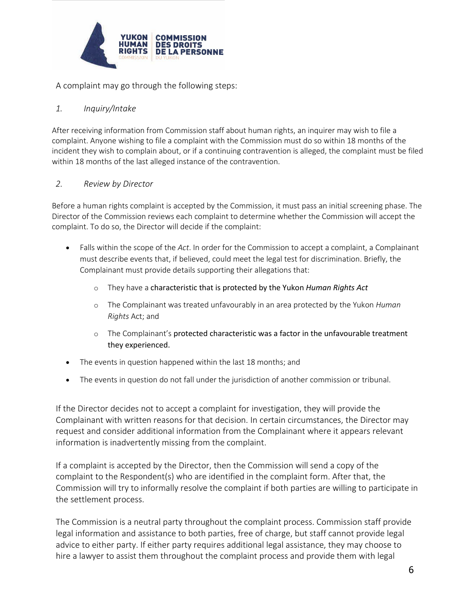

A complaint may go through the following steps:

### *1. Inquiry/Intake*

After receiving information from Commission staff about human rights, an inquirer may wish to file a complaint. Anyone wishing to file a complaint with the Commission must do so within 18 months of the incident they wish to complain about, or if a continuing contravention is alleged, the complaint must be filed within 18 months of the last alleged instance of the contravention.

### *2. Review by Director*

Before a human rights complaint is accepted by the Commission, it must pass an initial screening phase. The Director of the Commission reviews each complaint to determine whether the Commission will accept the complaint. To do so, the Director will decide if the complaint:

- Falls within the scope of the *Act*. In order for the Commission to accept a complaint, a Complainant must describe events that, if believed, could meet the legal test for discrimination. Briefly, the Complainant must provide details supporting their allegations that:
	- o They have a characteristic that is protected by the Yukon *Human Rights Act*
	- o The Complainant was treated unfavourably in an area protected by the Yukon *Human Rights* Act; and
	- $\circ$  The Complainant's protected characteristic was a factor in the unfavourable treatment they experienced.
- The events in question happened within the last 18 months; and
- The events in question do not fall under the jurisdiction of another commission or tribunal.

If the Director decides not to accept a complaint for investigation, they will provide the Complainant with written reasons for that decision. In certain circumstances, the Director may request and consider additional information from the Complainant where it appears relevant information is inadvertently missing from the complaint.

If a complaint is accepted by the Director, then the Commission will send a copy of the complaint to the Respondent(s) who are identified in the complaint form. After that, the Commission will try to informally resolve the complaint if both parties are willing to participate in the settlement process.

The Commission is a neutral party throughout the complaint process. Commission staff provide legal information and assistance to both parties, free of charge, but staff cannot provide legal advice to either party. If either party requires additional legal assistance, they may choose to hire a lawyer to assist them throughout the complaint process and provide them with legal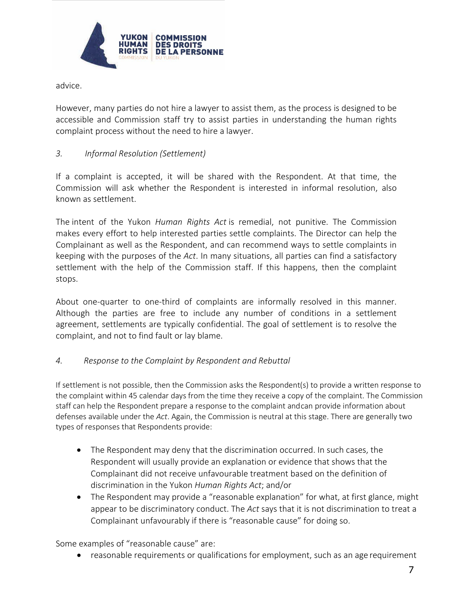

advice.

However, many parties do not hire a lawyer to assist them, as the process is designed to be accessible and Commission staff try to assist parties in understanding the human rights complaint process without the need to hire a lawyer.

# *3. Informal Resolution (Settlement)*

If a complaint is accepted, it will be shared with the Respondent. At that time, the Commission will ask whether the Respondent is interested in informal resolution, also known as settlement.

The intent of the Yukon *Human Rights Act* is remedial, not punitive. The Commission makes every effort to help interested parties settle complaints. The Director can help the Complainant as well as the Respondent, and can recommend ways to settle complaints in keeping with the purposes of the *Act*. In many situations, all parties can find a satisfactory settlement with the help of the Commission staff. If this happens, then the complaint stops.

About one-quarter to one-third of complaints are informally resolved in this manner. Although the parties are free to include any number of conditions in a settlement agreement, settlements are typically confidential. The goal of settlement is to resolve the complaint, and not to find fault or lay blame.

## *4. Response to the Complaint by Respondent and Rebuttal*

If settlement is not possible, then the Commission asks the Respondent(s) to provide a written response to the complaint within 45 calendar days from the time they receive a copy of the complaint. The Commission staff can help the Respondent prepare a response to the complaint andcan provide information about defenses available under the *Act*. Again, the Commission is neutral at this stage. There are generally two types of responses that Respondents provide:

- The Respondent may deny that the discrimination occurred. In such cases, the Respondent will usually provide an explanation or evidence that shows that the Complainant did not receive unfavourable treatment based on the definition of discrimination in the Yukon *Human Rights Act*; and/or
- The Respondent may provide a "reasonable explanation" for what, at first glance, might appear to be discriminatory conduct. The *Act* says that it is not discrimination to treat a Complainant unfavourably if there is "reasonable cause" for doing so.

Some examples of "reasonable cause" are:

• reasonable requirements or qualifications for employment, such as an age requirement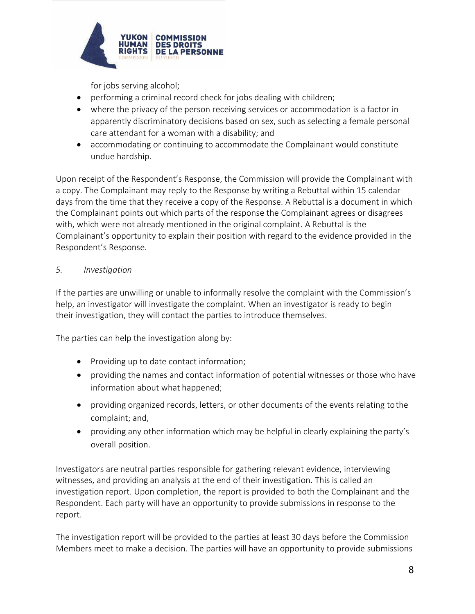

for jobs serving alcohol;

- performing a criminal record check for jobs dealing with children;
- where the privacy of the person receiving services or accommodation is a factor in apparently discriminatory decisions based on sex, such as selecting a female personal care attendant for a woman with a disability; and
- accommodating or continuing to accommodate the Complainant would constitute undue hardship.

Upon receipt of the Respondent's Response, the Commission will provide the Complainant with a copy. The Complainant may reply to the Response by writing a Rebuttal within 15 calendar days from the time that they receive a copy of the Response. A Rebuttal is a document in which the Complainant points out which parts of the response the Complainant agrees or disagrees with, which were not already mentioned in the original complaint. A Rebuttal is the Complainant's opportunity to explain their position with regard to the evidence provided in the Respondent's Response.

# *5. Investigation*

If the parties are unwilling or unable to informally resolve the complaint with the Commission's help, an investigator will investigate the complaint. When an investigator is ready to begin their investigation, they will contact the parties to introduce themselves.

The parties can help the investigation along by:

- Providing up to date contact information;
- providing the names and contact information of potential witnesses or those who have information about what happened;
- providing organized records, letters, or other documents of the events relating tothe complaint; and,
- providing any other information which may be helpful in clearly explaining the party's overall position.

Investigators are neutral parties responsible for gathering relevant evidence, interviewing witnesses, and providing an analysis at the end of their investigation. This is called an investigation report. Upon completion, the report is provided to both the Complainant and the Respondent. Each party will have an opportunity to provide submissions in response to the report.

The investigation report will be provided to the parties at least 30 days before the Commission Members meet to make a decision. The parties will have an opportunity to provide submissions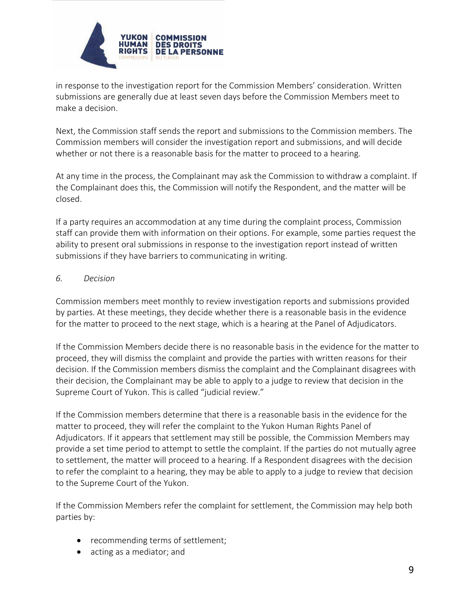

in response to the investigation report for the Commission Members' consideration. Written submissions are generally due at least seven days before the Commission Members meet to make a decision.

Next, the Commission staff sends the report and submissions to the Commission members. The Commission members will consider the investigation report and submissions, and will decide whether or not there is a reasonable basis for the matter to proceed to a hearing.

At any time in the process, the Complainant may ask the Commission to withdraw a complaint. If the Complainant does this, the Commission will notify the Respondent, and the matter will be closed.

If a party requires an accommodation at any time during the complaint process, Commission staff can provide them with information on their options. For example, some parties request the ability to present oral submissions in response to the investigation report instead of written submissions if they have barriers to communicating in writing.

### *6. Decision*

Commission members meet monthly to review investigation reports and submissions provided by parties. At these meetings, they decide whether there is a reasonable basis in the evidence for the matter to proceed to the next stage, which is a hearing at the Panel of Adjudicators.

If the Commission Members decide there is no reasonable basis in the evidence for the matter to proceed, they will dismiss the complaint and provide the parties with written reasons for their decision. If the Commission members dismiss the complaint and the Complainant disagrees with their decision, the Complainant may be able to apply to a judge to review that decision in the Supreme Court of Yukon. This is called "judicial review."

If the Commission members determine that there is a reasonable basis in the evidence for the matter to proceed, they will refer the complaint to the Yukon Human Rights Panel of Adjudicators. If it appears that settlement may still be possible, the Commission Members may provide a set time period to attempt to settle the complaint. If the parties do not mutually agree to settlement, the matter will proceed to a hearing. If a Respondent disagrees with the decision to refer the complaint to a hearing, they may be able to apply to a judge to review that decision to the Supreme Court of the Yukon.

If the Commission Members refer the complaint for settlement, the Commission may help both parties by:

- recommending terms of settlement;
- acting as a mediator; and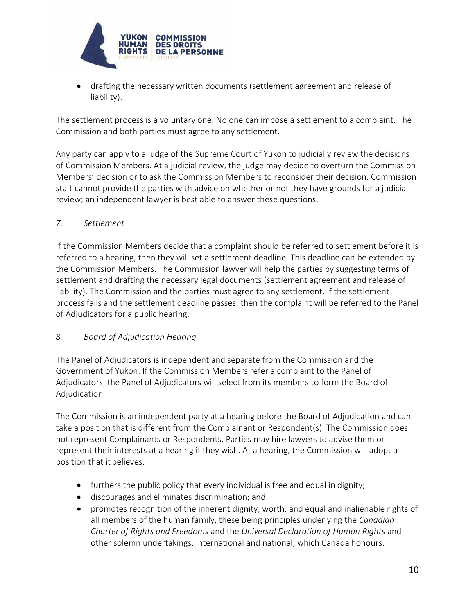

• drafting the necessary written documents (settlement agreement and release of liability).

The settlement process is a voluntary one. No one can impose a settlement to a complaint. The Commission and both parties must agree to any settlement.

Any party can apply to a judge of the Supreme Court of Yukon to judicially review the decisions of Commission Members. At a judicial review, the judge may decide to overturn the Commission Members' decision or to ask the Commission Members to reconsider their decision. Commission staff cannot provide the parties with advice on whether or not they have grounds for a judicial review; an independent lawyer is best able to answer these questions.

## *7. Settlement*

If the Commission Members decide that a complaint should be referred to settlement before it is referred to a hearing, then they will set a settlement deadline. This deadline can be extended by the Commission Members. The Commission lawyer will help the parties by suggesting terms of settlement and drafting the necessary legal documents (settlement agreement and release of liability). The Commission and the parties must agree to any settlement. If the settlement process fails and the settlement deadline passes, then the complaint will be referred to the Panel of Adjudicators for a public hearing.

## *8. Board of Adjudication Hearing*

The Panel of Adjudicators is independent and separate from the Commission and the Government of Yukon. If the Commission Members refer a complaint to the Panel of Adjudicators, the Panel of Adjudicators will select from its members to form the Board of Adjudication.

The Commission is an independent party at a hearing before the Board of Adjudication and can take a position that is different from the Complainant or Respondent(s). The Commission does not represent Complainants or Respondents. Parties may hire lawyers to advise them or represent their interests at a hearing if they wish. At a hearing, the Commission will adopt a position that it believes:

- furthers the public policy that every individual is free and equal in dignity;
- discourages and eliminates discrimination; and
- promotes recognition of the inherent dignity, worth, and equal and inalienable rights of all members of the human family, these being principles underlying the *Canadian Charter of Rights and Freedoms* and the *Universal Declaration of Human Rights* and other solemn undertakings, international and national, which Canada honours.